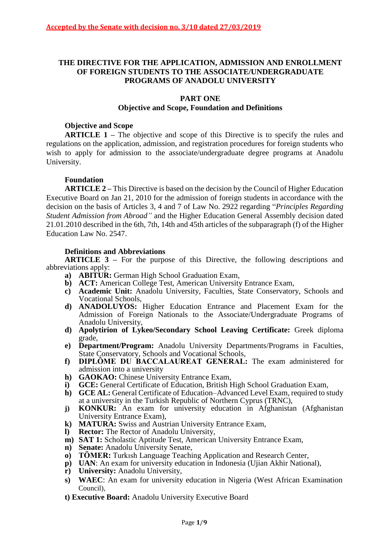## **THE DIRECTIVE FOR THE APPLICATION, ADMISSION AND ENROLLMENT OF FOREIGN STUDENTS TO THE ASSOCIATE/UNDERGRADUATE PROGRAMS OF ANADOLU UNIVERSITY**

# **PART ONE**

## **Objective and Scope, Foundation and Definitions**

## **Objective and Scope**

**ARTICLE 1 ‒** The objective and scope of this Directive is to specify the rules and regulations on the application, admission, and registration procedures for foreign students who wish to apply for admission to the associate/undergraduate degree programs at Anadolu University.

## **Foundation**

**ARTICLE 2 ‒** This Directive is based on the decision by the Council of Higher Education Executive Board on Jan 21, 2010 for the admission of foreign students in accordance with the decision on the basis of Articles 3, 4 and 7 of Law No. 2922 regarding "*Principles Regarding Student Admission from Abroad"* and the Higher Education General Assembly decision dated 21.01.2010 described in the 6th, 7th, 14th and 45th articles of the subparagraph (f) of the Higher Education Law No. 2547.

### **Definitions and Abbreviations**

**ARTICLE** 3 – For the purpose of this Directive, the following descriptions and abbreviations apply:

- **a) ABITUR:** German High School Graduation Exam,
- **b) ACT:** American College Test, American University Entrance Exam,
- **c) Academic Unit:** Anadolu University, Faculties, State Conservatory, Schools and Vocational Schools,
- **d) ANADOLUYOS:** Higher Education Entrance and Placement Exam for the Admission of Foreign Nationals to the Associate/Undergraduate Programs of Anadolu University,
- **d) Apolytirion of Lykeo/Secondary School Leaving Certificate:** Greek diploma grade,
- **e) Department/Program:** Anadolu University Departments/Programs in Faculties, State Conservatory, Schools and Vocational Schools,
- f) **DIPLÔME DU BACCALAUREAT GENERAL:** The exam administered for admission into a university
- **h) GAOKAO:** Chinese University Entrance Exam,
- **i) GCE:** General Certificate of Education, British High School Graduation Exam,
- **h) GCE AL:** General Certificate of Education–Advanced Level Exam, required to study at a university in the Turkish Republic of Northern Cyprus (TRNC),
- **j) KONKUR:** An exam for university education in Afghanistan (Afghanistan University Entrance Exam),
- **k) MATURA:** Swiss and Austrian University Entrance Exam,
- **l) Rector:** The Rector of Anadolu University,
- **m) SAT 1:** Scholastic Aptitude Test, American University Entrance Exam,
- **n) Senate:** Anadolu University Senate,
- **o) TÖMER:** Turkısh Language Teaching Application and Research Center,
- **p) UAN**: An exam for university education in Indonesia (Ujian Akhir National),
- **r) University:** Anadolu University,
- **s) WAEC**: An exam for university education in Nigeria (West African Examination Council),
- **t) Executive Board:** Anadolu University Executive Board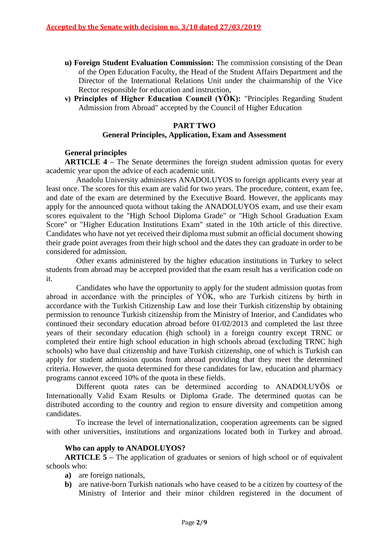- **u) Foreign Student Evaluation Commission:** The commission consisting of the Dean of the Open Education Faculty, the Head of the Student Affairs Department and the Director of the International Relations Unit under the chairmanship of the Vice Rector responsible for education and instruction,
- **v) Principles of Higher Education Council (YÖK):** "Principles Regarding Student Admission from Abroad" accepted by the Council of Higher Education

### **PART TWO**

### **General Principles, Application, Exam and Assessment**

### **General principles**

**ARTICLE 4** – The Senate determines the foreign student admission quotas for every academic year upon the advice of each academic unit.

Anadolu University administers ANADOLUYOS to foreign applicants every year at least once. The scores for this exam are valid for two years. The procedure, content, exam fee, and date of the exam are determined by the Executive Board. However, the applicants may apply for the announced quota without taking the ANADOLUYOS exam, and use their exam scores equivalent to the "High School Diploma Grade" or "High School Graduation Exam Score" or "Higher Education Institutions Exam" stated in the 10th article of this directive. Candidates who have not yet received their diploma must submit an official document showing their grade point averages from their high school and the dates they can graduate in order to be considered for admission.

Other exams administered by the higher education institutions in Turkey to select students from abroad may be accepted provided that the exam result has a verification code on it.

Candidates who have the opportunity to apply for the student admission quotas from abroad in accordance with the principles of YÖK, who are Turkish citizens by birth in accordance with the Turkish Citizenship Law and lose their Turkish citizenship by obtaining permission to renounce Turkish citizenship from the Ministry of Interior, and Candidates who continued their secondary education abroad before 01/02/2013 and completed the last three years of their secondary education (high school) in a foreign country except TRNC or completed their entire high school education in high schools abroad (excluding TRNC high schools) who have dual citizenship and have Turkish citizenship, one of which is Turkish can apply for student admission quotas from abroad providing that they meet the determined criteria. However, the quota determined for these candidates for law, education and pharmacy programs cannot exceed 10% of the quota in these fields.

Different quota rates can be determined according to ANADOLUYÖS or Internationally Valid Exam Results or Diploma Grade. The determined quotas can be distributed according to the country and region to ensure diversity and competition among candidates.

To increase the level of internationalization, cooperation agreements can be signed with other universities, institutions and organizations located both in Turkey and abroad.

#### **Who can apply to ANADOLUYOS?**

**ARTICLE** 5 – The application of graduates or seniors of high school or of equivalent schools who:

- **a)** are foreign nationals,
- **b)** are native-born Turkish nationals who have ceased to be a citizen by courtesy of the Ministry of Interior and their minor children registered in the document of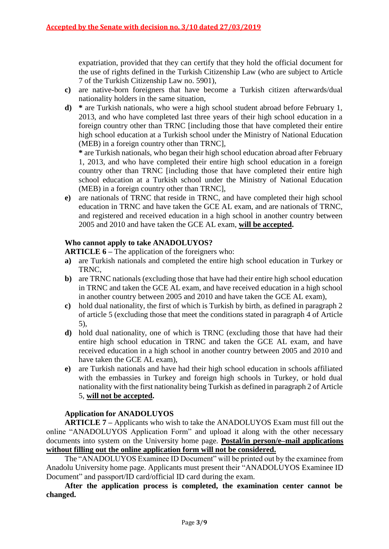expatriation, provided that they can certify that they hold the official document for the use of rights defined in the Turkish Citizenship Law (who are subject to Article 7 of the Turkish Citizenship Law no. 5901),

- **c)** are native-born foreigners that have become a Turkish citizen afterwards/dual nationality holders in the same situation,
- **d) \*** are Turkish nationals, who were a high school student abroad before February 1, 2013, and who have completed last three years of their high school education in a foreign country other than TRNC [including those that have completed their entire high school education at a Turkish school under the Ministry of National Education (MEB) in a foreign country other than TRNC],

**\*** are Turkish nationals, who began their high school education abroad after February 1, 2013, and who have completed their entire high school education in a foreign country other than TRNC [including those that have completed their entire high school education at a Turkish school under the Ministry of National Education (MEB) in a foreign country other than TRNC],

**e)** are nationals of TRNC that reside in TRNC, and have completed their high school education in TRNC and have taken the GCE AL exam, and are nationals of TRNC, and registered and received education in a high school in another country between 2005 and 2010 and have taken the GCE AL exam, **will be accepted.**

# **Who cannot apply to take ANADOLUYOS?**

**ARTICLE 6 ‒** The application of the foreigners who:

- **a)** are Turkish nationals and completed the entire high school education in Turkey or TRNC,
- **b)** are TRNC nationals (excluding those that have had their entire high school education in TRNC and taken the GCE AL exam, and have received education in a high school in another country between 2005 and 2010 and have taken the GCE AL exam),
- **c)** hold dual nationality, the first of which is Turkish by birth, as defined in paragraph 2 of article 5 (excluding those that meet the conditions stated in paragraph 4 of Article 5),
- **d)** hold dual nationality, one of which is TRNC (excluding those that have had their entire high school education in TRNC and taken the GCE AL exam, and have received education in a high school in another country between 2005 and 2010 and have taken the GCE AL exam),
- **e)** are Turkish nationals and have had their high school education in schools affiliated with the embassies in Turkey and foreign high schools in Turkey, or hold dual nationality with the first nationality being Turkish as defined in paragraph 2 of Article 5, **will not be accepted.**

# **Application for ANADOLUYOS**

**ARTICLE 7 ‒** Applicants who wish to take the ANADOLUYOS Exam must fill out the online "ANADOLUYOS Application Form" and upload it along with the other necessary documents into system on the University home page. **Postal/in person/e-mail applications without filling out the online application form will not be considered.**

The "ANADOLUYOS Examinee ID Document" will be printed out by the examinee from Anadolu University home page. Applicants must present their "ANADOLUYOS Examinee ID Document" and passport/ID card/official ID card during the exam.

**After the application process is completed, the examination center cannot be changed.**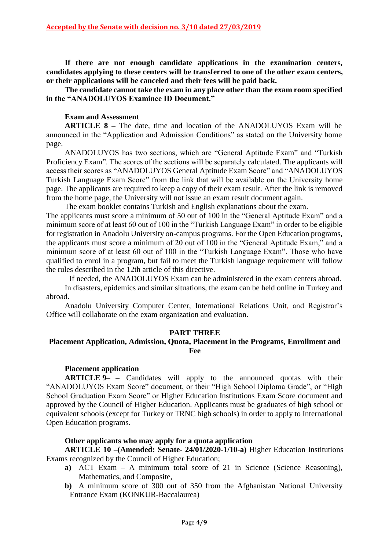**If there are not enough candidate applications in the examination centers, candidates applying to these centers will be transferred to one of the other exam centers, or their applications will be canceled and their fees will be paid back.**

**The candidate cannot take the exam in any place other than the exam room specified in the "ANADOLUYOS Examinee ID Document."**

## **Exam and Assessment**

**ARTICLE 8 ‒** The date, time and location of the ANADOLUYOS Exam will be announced in the "Application and Admission Conditions" as stated on the University home page.

ANADOLUYOS has two sections, which are "General Aptitude Exam" and "Turkish Proficiency Exam". The scores of the sections will be separately calculated. The applicants will access their scores as "ANADOLUYOS General Aptitude Exam Score" and "ANADOLUYOS Turkish Language Exam Score" from the link that will be available on the University home page. The applicants are required to keep a copy of their exam result. After the link is removed from the home page, the University will not issue an exam result document again.

The exam booklet contains Turkish and English explanations about the exam.

The applicants must score a minimum of 50 out of 100 in the "General Aptitude Exam" and a minimum score of at least 60 out of 100 in the "Turkish Language Exam" in order to be eligible for registration in Anadolu University on-campus programs. For the Open Education programs, the applicants must score a minimum of 20 out of 100 in the "General Aptitude Exam," and a minimum score of at least 60 out of 100 in the "Turkish Language Exam". Those who have qualified to enrol in a program, but fail to meet the Turkish language requirement will follow the rules described in the 12th article of this directive.

If needed, the ANADOLUYOS Exam can be administered in the exam centers abroad.

In disasters, epidemics and similar situations, the exam can be held online in Turkey and abroad.

Anadolu University Computer Center, International Relations Unit, and Registrar's Office will collaborate on the exam organization and evaluation.

### **PART THREE**

# **Placement Application, Admission, Quota, Placement in the Programs, Enrollment and Fee**

### **Placement application**

**ARTICLE 9– –** Candidates will apply to the announced quotas with their "ANADOLUYOS Exam Score" document, or their "High School Diploma Grade", or "High School Graduation Exam Score" or Higher Education Institutions Exam Score document and approved by the Council of Higher Education. Applicants must be graduates of high school or equivalent schools (except for Turkey or TRNC high schools) in order to apply to International Open Education programs.

### **Other applicants who may apply for a quota application**

**ARTICLE 10 ‒(Amended: Senate- 24/01/2020-1/10-a)** Higher Education Institutions Exams recognized by the Council of Higher Education;

- **a)** ACT Exam A minimum total score of 21 in Science (Science Reasoning), Mathematics, and Composite,
- **b)** A minimum score of 300 out of 350 from the Afghanistan National University Entrance Exam (KONKUR-Baccalaurea)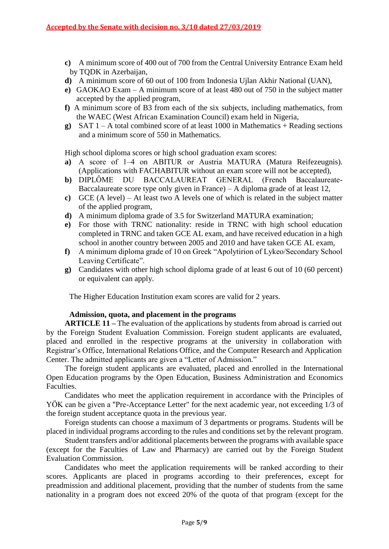- **c)** A minimum score of 400 out of 700 from the Central University Entrance Exam held by TQDK in Azerbaijan,
- **d)** A minimum score of 60 out of 100 from Indonesia Ujlan Akhir National (UAN),
- **e)** GAOKAO Exam A minimum score of at least 480 out of 750 in the subject matter accepted by the applied program,
- **f)** A minimum score of B3 from each of the six subjects, including mathematics, from the WAEC (West African Examination Council) exam held in Nigeria,
- **g**) SAT  $1 A$  total combined score of at least 1000 in Mathematics + Reading sections and a minimum score of 550 in Mathematics.

High school diploma scores or high school graduation exam scores:

- a) A score of 1–4 on ABITUR or Austria MATURA (Matura Reifezeugnis). (Applications with FACHABITUR without an exam score will not be accepted),
- **b**) DIPLÔME DU BACCALAUREAT GENERAL (French Baccalaureate-Baccalaureate score type only given in France) – A diploma grade of at least 12,
- **c)** GCE (A level) At least two A levels one of which is related in the subject matter of the applied program,
- **d)** A minimum diploma grade of 3.5 for Switzerland MATURA examination;
- **e)** For those with TRNC nationality: reside in TRNC with high school education completed in TRNC and taken GCE AL exam, and have received education in a high school in another country between 2005 and 2010 and have taken GCE AL exam,
- **f)** A minimum diploma grade of 10 on Greek "Apolytirion of Lykeo/Secondary School Leaving Certificate".
- **g)** Candidates with other high school diploma grade of at least 6 out of 10 (60 percent) or equivalent can apply.

The Higher Education Institution exam scores are valid for 2 years.

### **Admission, quota, and placement in the programs**

**ARTICLE** 11 – The evaluation of the applications by students from abroad is carried out by the Foreign Student Evaluation Commission. Foreign student applicants are evaluated, placed and enrolled in the respective programs at the university in collaboration with Registrar's Office, International Relations Office, and the Computer Research and Application Center. The admitted applicants are given a "Letter of Admission."

The foreign student applicants are evaluated, placed and enrolled in the International Open Education programs by the Open Education, Business Administration and Economics Faculties.

Candidates who meet the application requirement in accordance with the Principles of YÖK can be given a "Pre-Acceptance Letter" for the next academic year, not exceeding 1/3 of the foreign student acceptance quota in the previous year.

Foreign students can choose a maximum of 3 departments or programs. Students will be placed in individual programs according to the rules and conditions set by the relevant program.

Student transfers and/or additional placements between the programs with available space (except for the Faculties of Law and Pharmacy) are carried out by the Foreign Student Evaluation Commission.

Candidates who meet the application requirements will be ranked according to their scores. Applicants are placed in programs according to their preferences, except for preadmission and additional placement, providing that the number of students from the same nationality in a program does not exceed 20% of the quota of that program (except for the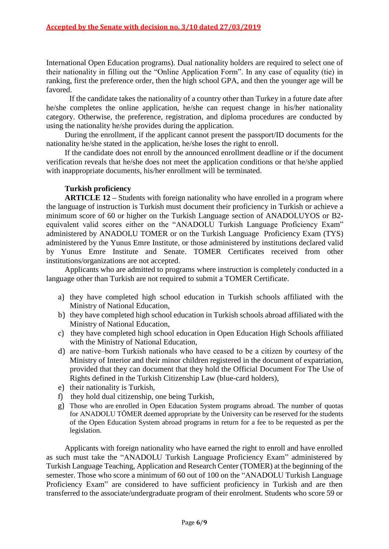International Open Education programs). Dual nationality holders are required to select one of their nationality in filling out the "Online Application Form". In any case of equality (tie) in ranking, first the preference order, then the high school GPA, and then the younger age will be favored.

If the candidate takes the nationality of a country other than Turkey in a future date after he/she completes the online application, he/she can request change in his/her nationality category. Otherwise, the preference, registration, and diploma procedures are conducted by using the nationality he/she provides during the application.

During the enrollment, if the applicant cannot present the passport/ID documents for the nationality he/she stated in the application, he/she loses the right to enroll.

If the candidate does not enroll by the announced enrollment deadline or if the document verification reveals that he/she does not meet the application conditions or that he/she applied with inappropriate documents, his/her enrollment will be terminated.

## **Turkish proficiency**

**ARTICLE** 12 – Students with foreign nationality who have enrolled in a program where the language of instruction is Turkish must document their proficiency in Turkish or achieve a minimum score of 60 or higher on the Turkish Language section of ANADOLUYOS or B2 equivalent valid scores either on the "ANADOLU Turkish Language Proficiency Exam" administered by ANADOLU TOMER or on the Turkish Language Proficiency Exam (TYS) administered by the Yunus Emre Institute, or those administered by institutions declared valid by Yunus Emre Institute and Senate. TOMER Certificates received from other institutions/organizations are not accepted.

Applicants who are admitted to programs where instruction is completely conducted in a language other than Turkish are not required to submit a TOMER Certificate.

- a) they have completed high school education in Turkish schools affiliated with the Ministry of National Education,
- b) they have completed high school education in Turkish schools abroad affiliated with the Ministry of National Education,
- c) they have completed high school education in Open Education High Schools affiliated with the Ministry of National Education,
- d) are native‒born Turkish nationals who have ceased to be a citizen by courtesy of the Ministry of Interior and their minor children registered in the document of expatriation, provided that they can document that they hold the Official Document For The Use of Rights defined in the Turkish Citizenship Law (blue-card holders),
- e) their nationality is Turkish,
- f) they hold dual citizenship, one being Turkish,
- g) Those who are enrolled in Open Education System programs abroad. The number of quotas for ANADOLU TÖMER deemed appropriate by the University can be reserved for the students of the Open Education System abroad programs in return for a fee to be requested as per the legislation.

Applicants with foreign nationality who have earned the right to enroll and have enrolled as such must take the "ANADOLU Turkish Language Proficiency Exam" administered by Turkish Language Teaching, Application and Research Center (TOMER) at the beginning of the semester. Those who score a minimum of 60 out of 100 on the "ANADOLU Turkish Language Proficiency Exam" are considered to have sufficient proficiency in Turkish and are then transferred to the associate/undergraduate program of their enrolment. Students who score 59 or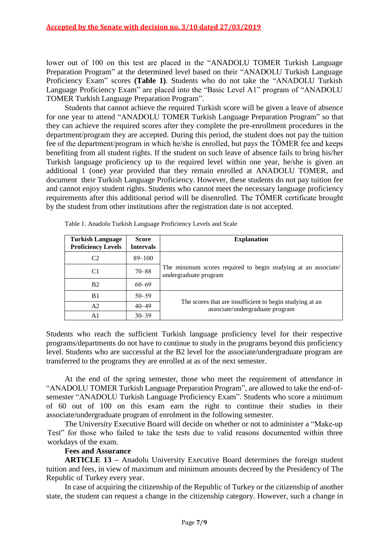lower out of 100 on this test are placed in the "ANADOLU TOMER Turkish Language Preparation Program" at the determined level based on their "ANADOLU Turkish Language Proficiency Exam" scores **(Table 1)**. Students who do not take the "ANADOLU Turkish Language Proficiency Exam" are placed into the "Basic Level A1" program of "ANADOLU TOMER Turkish Language Preparation Program".

Students that cannot achieve the required Turkish score will be given a leave of absence for one year to attend "ANADOLU TOMER Turkish Language Preparation Program" so that they can achieve the required scores after they complete the pre-enrollment procedures in the department/program they are accepted. During this period, the student does not pay the tuition fee of the department/program in which he/she is enrolled, but pays the TÖMER fee and keeps benefiting from all student rights. If the student on such leave of absence fails to bring his/her Turkish language proficiency up to the required level within one year, he/she is given an additional 1 (one) year provided that they remain enrolled at ANADOLU TOMER, and document their Turkish Language Proficiency. However, these students do not pay tuition fee and cannot enjoy student rights. Students who cannot meet the necessary language proficiency requirements after this additional period will be disenrolled. The TÖMER certificate brought by the student from other institutions after the registration date is not accepted.

| <b>Turkish Language</b><br><b>Proficiency Levels</b> | <b>Score</b><br><b>Intervals</b> | <b>Explanation</b>                                                                          |  |
|------------------------------------------------------|----------------------------------|---------------------------------------------------------------------------------------------|--|
| C <sub>2</sub>                                       | $89 - 100$                       | The minimum scores required to begin studying at an associate/<br>undergraduate program     |  |
| C1                                                   | $70 - 88$                        |                                                                                             |  |
| <b>B2</b>                                            | $60 - 69$                        |                                                                                             |  |
| B1                                                   | $50 - 59$                        | The scores that are insufficient to begin studying at an<br>associate/undergraduate program |  |
| A2                                                   | $40 - 49$                        |                                                                                             |  |
| A1                                                   | $30 - 39$                        |                                                                                             |  |

Table 1. Anadolu Turkish Language Proficiency Levels and Scale

Students who reach the sufficient Turkish language proficiency level for their respective programs/departments do not have to continue to study in the programs beyond this proficiency level. Students who are successful at the B2 level for the associate/undergraduate program are transferred to the programs they are enrolled at as of the next semester.

At the end of the spring semester, those who meet the requirement of attendance in "ANADOLU TOMER Turkish Language Preparation Program", are allowed to take the end-ofsemester "ANADOLU Turkish Language Proficiency Exam". Students who score a minimum of 60 out of 100 on this exam earn the right to continue their studies in their associate/undergraduate program of enrolment in the following semester.

The University Executive Board will decide on whether or not to administer a "Make-up Test" for those who failed to take the tests due to valid reasons documented within three workdays of the exam.

### **Fees and Assurance**

**ARTICLE 13 ‒** Anadolu University Executive Board determines the foreign student tuition and fees, in view of maximum and minimum amounts decreed by the Presidency of The Republic of Turkey every year.

In case of acquiring the citizenship of the Republic of Turkey or the citizenship of another state, the student can request a change in the citizenship category. However, such a change in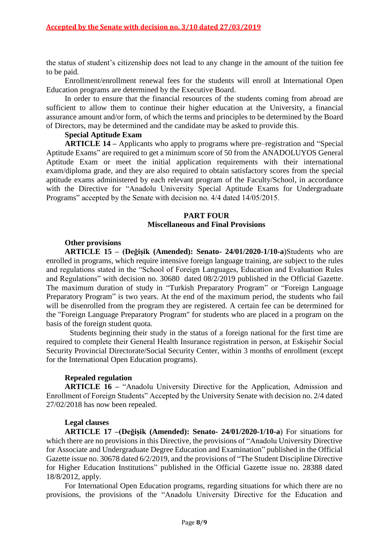the status of student's citizenship does not lead to any change in the amount of the tuition fee to be paid.

Enrollment/enrollment renewal fees for the students will enroll at International Open Education programs are determined by the Executive Board.

In order to ensure that the financial resources of the students coming from abroad are sufficient to allow them to continue their higher education at the University, a financial assurance amount and/or form, of which the terms and principles to be determined by the Board of Directors, may be determined and the candidate may be asked to provide this.

### **Special Aptitude Exam**

**ARTICLE** 14 – Applicants who apply to programs where pre–registration and "Special" Aptitude Exams" are required to get a minimum score of 50 from the ANADOLUYOS General Aptitude Exam or meet the initial application requirements with their international exam/diploma grade, and they are also required to obtain satisfactory scores from the special aptitude exams administered by each relevant program of the Faculty/School, in accordance with the Directive for "Anadolu University Special Aptitude Exams for Undergraduate Programs" accepted by the Senate with decision no. 4/4 dated 14/05/2015.

## **PART FOUR Miscellaneous and Final Provisions**

## **Other provisions**

**ARTICLE 15 ‒ (Değişik (Amended): Senato- 24/01/2020-1/10-a**)Students who are enrolled in programs, which require intensive foreign language training, are subject to the rules and regulations stated in the "School of Foreign Languages, Education and Evaluation Rules and Regulations" with decision no. 30680 dated 08/2/2019 published in the Official Gazette. The maximum duration of study in "Turkish Preparatory Program" or "Foreign Language Preparatory Program" is two years. At the end of the maximum period, the students who fail will be disenrolled from the program they are registered. A certain fee can be determined for the "Foreign Language Preparatory Program" for students who are placed in a program on the basis of the foreign student quota.

Students beginning their study in the status of a foreign national for the first time are required to complete their General Health Insurance registration in person, at Eskişehir Social Security Provincial Directorate/Social Security Center, within 3 months of enrollment (except for the International Open Education programs).

### **Repealed regulation**

**ARTICLE 16** – "Anadolu University Directive for the Application, Admission and Enrollment of Foreign Students" Accepted by the University Senate with decision no. 2/4 dated 27/02/2018 has now been repealed.

### **Legal clauses**

**ARTICLE 17 ‒(Değişik (Amended): Senato- 24/01/2020-1/10-a**) For situations for which there are no provisions in this Directive, the provisions of "Anadolu University Directive for Associate and Undergraduate Degree Education and Examination" published in the Official Gazette issue no. 30678 dated 6/2/2019, and the provisions of "The Student Discipline Directive for Higher Education Institutions" published in the Official Gazette issue no. 28388 dated 18/8/2012, apply.

For International Open Education programs, regarding situations for which there are no provisions, the provisions of the "Anadolu University Directive for the Education and